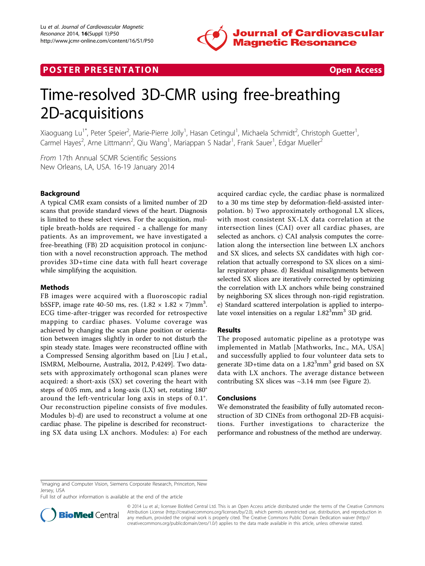

# **POSTER PRESENTATION CONSUMING THE SECOND CONSUMING THE SECOND CONSUMING THE SECOND CONSUMING THE SECOND CONSUMING THE SECOND CONSUMING THE SECOND CONSUMING THE SECOND CONSUMING THE SECOND CONSUMING THE SECOND CONSUMING**



# Time-resolved 3D-CMR using free-breathing 2D-acquisitions

Xiaoguang Lu<sup>1\*</sup>, Peter Speier<sup>2</sup>, Marie-Pierre Jolly<sup>1</sup>, Hasan Cetingul<sup>1</sup>, Michaela Schmidt<sup>2</sup>, Christoph Guetter<sup>1</sup> , Carmel Hayes<sup>2</sup>, Arne Littmann<sup>2</sup>, Qiu Wang<sup>1</sup>, Mariappan S Nadar<sup>1</sup>, Frank Sauer<sup>1</sup>, Edgar Mueller<sup>2</sup>

From 17th Annual SCMR Scientific Sessions New Orleans, LA, USA. 16-19 January 2014

# Background

A typical CMR exam consists of a limited number of 2D scans that provide standard views of the heart. Diagnosis is limited to these select views. For the acquisition, multiple breath-holds are required - a challenge for many patients. As an improvement, we have investigated a free-breathing (FB) 2D acquisition protocol in conjunction with a novel reconstruction approach. The method provides 3D+time cine data with full heart coverage while simplifying the acquisition.

## Methods

FB images were acquired with a fluoroscopic radial bSSFP, image rate 40-50 ms, res.  $(1.82 \times 1.82 \times 7)$ mm<sup>3</sup>. ECG time-after-trigger was recorded for retrospective mapping to cardiac phases. Volume coverage was achieved by changing the scan plane position or orientation between images slightly in order to not disturb the spin steady state. Images were reconstructed offline with a Compressed Sensing algorithm based on [Liu J et.al., ISMRM, Melbourne, Australia, 2012, P.4249]. Two datasets with approximately orthogonal scan planes were acquired: a short-axis (SX) set covering the heart with steps of 0.05 mm, and a long-axis (LX) set, rotating 180° around the left-ventricular long axis in steps of 0.1°. Our reconstruction pipeline consists of five modules. Modules b)-d) are used to reconstruct a volume at one cardiac phase. The pipeline is described for reconstructing SX data using LX anchors. Modules: a) For each acquired cardiac cycle, the cardiac phase is normalized to a 30 ms time step by deformation-field-assisted interpolation. b) Two approximately orthogonal LX slices, with most consistent SX-LX data correlation at the intersection lines (CAI) over all cardiac phases, are selected as anchors. c) CAI analysis computes the correlation along the intersection line between LX anchors and SX slices, and selects SX candidates with high correlation that actually correspond to SX slices on a similar respiratory phase. d) Residual misalignments between selected SX slices are iteratively corrected by optimizing the correlation with LX anchors while being constrained by neighboring SX slices through non-rigid registration. e) Standard scattered interpolation is applied to interpolate voxel intensities on a regular  $1.82<sup>3</sup>$ mm<sup>3</sup> 3D grid.

## Results

The proposed automatic pipeline as a prototype was implemented in Matlab [Mathworks, Inc., MA, USA] and successfully applied to four volunteer data sets to generate 3D+time data on a 1.82<sup>3</sup>mm<sup>3</sup> grid based on SX data with LX anchors. The average distance between contributing SX slices was ~3.14 mm (see Figure [2](#page-1-0)).

## **Conclusions**

We demonstrated the feasibility of fully automated reconstruction of 3D CINEs from orthogonal 2D-FB acquisitions. Further investigations to characterize the performance and robustness of the method are underway.

Full list of author information is available at the end of the article



© 2014 Lu et al.; licensee BioMed Central Ltd. This is an Open Access article distributed under the terms of the Creative Commons Attribution License [\(http://creativecommons.org/licenses/by/2.0](http://creativecommons.org/licenses/by/2.0)), which permits unrestricted use, distribution, and reproduction in any medium, provided the original work is properly cited. The Creative Commons Public Domain Dedication waiver [\(http://](http://creativecommons.org/publicdomain/zero/1.0/) [creativecommons.org/publicdomain/zero/1.0/](http://creativecommons.org/publicdomain/zero/1.0/)) applies to the data made available in this article, unless otherwise stated.

<sup>&</sup>lt;sup>1</sup>Imaging and Computer Vision, Siemens Corporate Research, Princeton, New Jersey, USA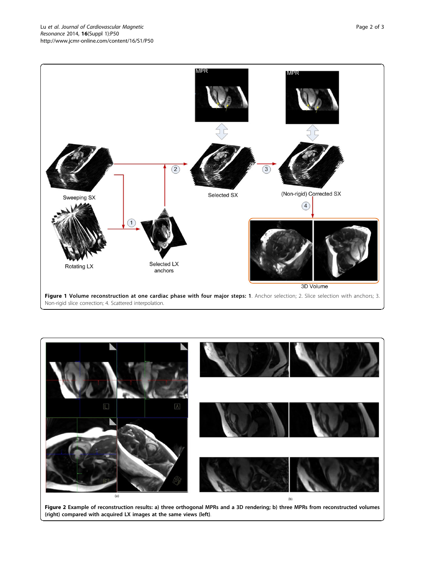<span id="page-1-0"></span>

Non-rigid slice correction; 4. Scattered interpolation.



Figure 2 Example of reconstruction results: a) three orthogonal MPRs and a 3D rendering; b) three MPRs from reconstructed volumes (right) compared with acquired LX images at the same views (left).